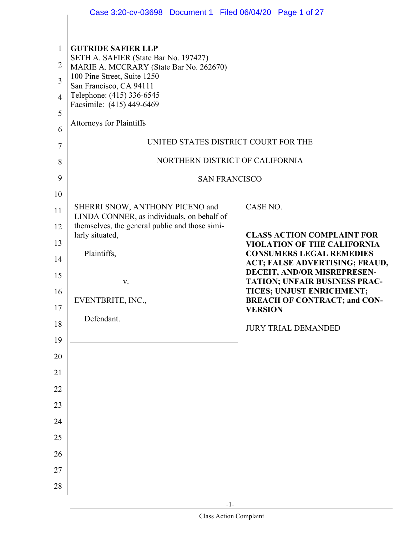|                | Case 3:20-cv-03698 Document 1 Filed 06/04/20 Page 1 of 27                        |                                                                         |
|----------------|----------------------------------------------------------------------------------|-------------------------------------------------------------------------|
|                |                                                                                  |                                                                         |
| $\mathbf{1}$   | <b>GUTRIDE SAFIER LLP</b>                                                        |                                                                         |
| 2              | SETH A. SAFIER (State Bar No. 197427)<br>MARIE A. MCCRARY (State Bar No. 262670) |                                                                         |
| 3              | 100 Pine Street, Suite 1250<br>San Francisco, CA 94111                           |                                                                         |
| $\overline{4}$ | Telephone: (415) 336-6545                                                        |                                                                         |
| 5              | Facsimile: (415) 449-6469                                                        |                                                                         |
| 6              | <b>Attorneys for Plaintiffs</b>                                                  |                                                                         |
| 7              | UNITED STATES DISTRICT COURT FOR THE                                             |                                                                         |
| 8              | NORTHERN DISTRICT OF CALIFORNIA                                                  |                                                                         |
| 9              | <b>SAN FRANCISCO</b>                                                             |                                                                         |
| 10             |                                                                                  |                                                                         |
| 11             | SHERRI SNOW, ANTHONY PICENO and<br>LINDA CONNER, as individuals, on behalf of    | CASE NO.                                                                |
| 12             | themselves, the general public and those simi-                                   |                                                                         |
| 13             | larly situated,                                                                  | <b>CLASS ACTION COMPLAINT FOR</b><br><b>VIOLATION OF THE CALIFORNIA</b> |
| 14             | Plaintiffs,                                                                      | <b>CONSUMERS LEGAL REMEDIES</b><br>ACT; FALSE ADVERTISING; FRAUD,       |
| 15             | ${\bf V}.$                                                                       | DECEIT, AND/OR MISREPRESEN-<br><b>TATION; UNFAIR BUSINESS PRAC-</b>     |
| 16             | EVENTBRITE, INC.,                                                                | TICES; UNJUST ENRICHMENT;<br><b>BREACH OF CONTRACT; and CON-</b>        |
| 17             |                                                                                  | <b>VERSION</b>                                                          |
| 18             | Defendant.                                                                       | <b>JURY TRIAL DEMANDED</b>                                              |
| 19             |                                                                                  |                                                                         |
| 20             |                                                                                  |                                                                         |
| 21             |                                                                                  |                                                                         |
| 22             |                                                                                  |                                                                         |
| 23             |                                                                                  |                                                                         |
| 24             |                                                                                  |                                                                         |
| 25             |                                                                                  |                                                                         |
| 26             |                                                                                  |                                                                         |
| 27             |                                                                                  |                                                                         |
| 28             |                                                                                  |                                                                         |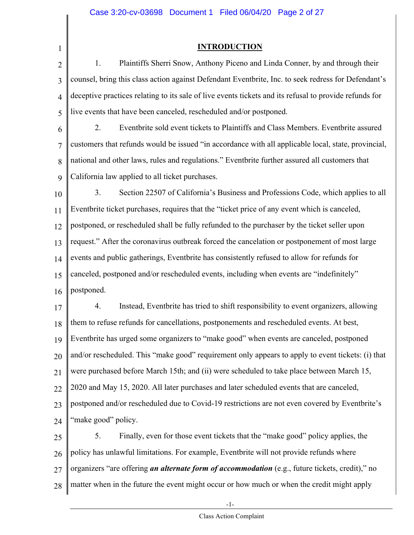1

#### **INTRODUCTION**

2 3 4 5 1. Plaintiffs Sherri Snow, Anthony Piceno and Linda Conner, by and through their counsel, bring this class action against Defendant Eventbrite, Inc. to seek redress for Defendant's deceptive practices relating to its sale of live events tickets and its refusal to provide refunds for live events that have been canceled, rescheduled and/or postponed.

6 7 8 9 2. Eventbrite sold event tickets to Plaintiffs and Class Members. Eventbrite assured customers that refunds would be issued "in accordance with all applicable local, state, provincial, national and other laws, rules and regulations." Eventbrite further assured all customers that California law applied to all ticket purchases.

10 11 12 13 14 15 16 3. Section 22507 of California's Business and Professions Code, which applies to all Eventbrite ticket purchases, requires that the "ticket price of any event which is canceled, postponed, or rescheduled shall be fully refunded to the purchaser by the ticket seller upon request." After the coronavirus outbreak forced the cancelation or postponement of most large events and public gatherings, Eventbrite has consistently refused to allow for refunds for canceled, postponed and/or rescheduled events, including when events are "indefinitely" postponed.

17 18 19 20 21 22 23 24 4. Instead, Eventbrite has tried to shift responsibility to event organizers, allowing them to refuse refunds for cancellations, postponements and rescheduled events. At best, Eventbrite has urged some organizers to "make good" when events are canceled, postponed and/or rescheduled. This "make good" requirement only appears to apply to event tickets: (i) that were purchased before March 15th; and (ii) were scheduled to take place between March 15, 2020 and May 15, 2020. All later purchases and later scheduled events that are canceled, postponed and/or rescheduled due to Covid-19 restrictions are not even covered by Eventbrite's "make good" policy.

25 26 27 28 5. Finally, even for those event tickets that the "make good" policy applies, the policy has unlawful limitations. For example, Eventbrite will not provide refunds where organizers "are offering *an alternate form of accommodation* (e.g., future tickets, credit)," no matter when in the future the event might occur or how much or when the credit might apply

-1-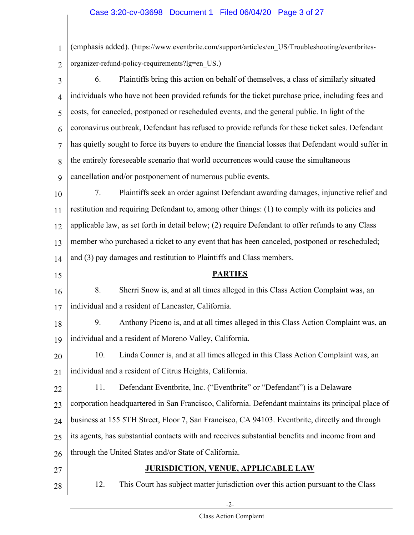#### Case 3:20-cv-03698 Document 1 Filed 06/04/20 Page 3 of 27

1 2 (emphasis added). (https://www.eventbrite.com/support/articles/en\_US/Troubleshooting/eventbritesorganizer-refund-policy-requirements?lg=en\_US.)

3 4 5 6 7 8 9 6. Plaintiffs bring this action on behalf of themselves, a class of similarly situated individuals who have not been provided refunds for the ticket purchase price, including fees and costs, for canceled, postponed or rescheduled events, and the general public. In light of the coronavirus outbreak, Defendant has refused to provide refunds for these ticket sales. Defendant has quietly sought to force its buyers to endure the financial losses that Defendant would suffer in the entirely foreseeable scenario that world occurrences would cause the simultaneous cancellation and/or postponement of numerous public events.

10 11 12 13 14 7. Plaintiffs seek an order against Defendant awarding damages, injunctive relief and restitution and requiring Defendant to, among other things: (1) to comply with its policies and applicable law, as set forth in detail below; (2) require Defendant to offer refunds to any Class member who purchased a ticket to any event that has been canceled, postponed or rescheduled; and (3) pay damages and restitution to Plaintiffs and Class members.

15 16 17 18 19 20 21 22 23 **PARTIES**  8. Sherri Snow is, and at all times alleged in this Class Action Complaint was, an individual and a resident of Lancaster, California. 9. Anthony Piceno is, and at all times alleged in this Class Action Complaint was, an individual and a resident of Moreno Valley, California. 10. Linda Conner is, and at all times alleged in this Class Action Complaint was, an individual and a resident of Citrus Heights, California. 11. Defendant Eventbrite, Inc. ("Eventbrite" or "Defendant") is a Delaware corporation headquartered in San Francisco, California. Defendant maintains its principal place of

25 its agents, has substantial contacts with and receives substantial benefits and income from and

26 through the United States and/or State of California.

27

24

#### **JURISDICTION, VENUE, APPLICABLE LAW**

business at 155 5TH Street, Floor 7, San Francisco, CA 94103. Eventbrite, directly and through

28

#### 12. This Court has subject matter jurisdiction over this action pursuant to the Class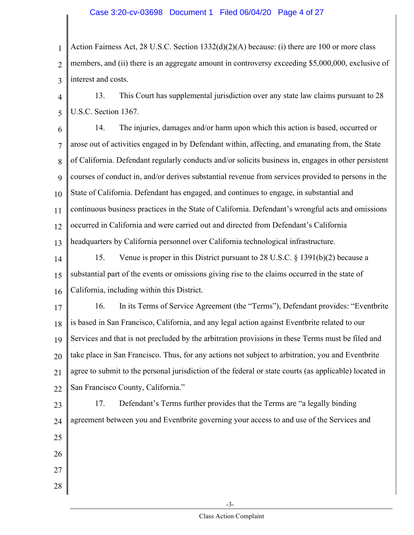#### Case 3:20-cv-03698 Document 1 Filed 06/04/20 Page 4 of 27

1 2 3 Action Fairness Act, 28 U.S.C. Section 1332(d)(2)(A) because: (i) there are 100 or more class members, and (ii) there is an aggregate amount in controversy exceeding \$5,000,000, exclusive of interest and costs.

4 5 13. This Court has supplemental jurisdiction over any state law claims pursuant to 28 U.S.C. Section 1367.

6 7 8 9 10 11 12 13 14. The injuries, damages and/or harm upon which this action is based, occurred or arose out of activities engaged in by Defendant within, affecting, and emanating from, the State of California. Defendant regularly conducts and/or solicits business in, engages in other persistent courses of conduct in, and/or derives substantial revenue from services provided to persons in the State of California. Defendant has engaged, and continues to engage, in substantial and continuous business practices in the State of California. Defendant's wrongful acts and omissions occurred in California and were carried out and directed from Defendant's California headquarters by California personnel over California technological infrastructure.

14 15 16 15. Venue is proper in this District pursuant to 28 U.S.C. § 1391(b)(2) because a substantial part of the events or omissions giving rise to the claims occurred in the state of California, including within this District.

17 18 19 20 21 22 16. In its Terms of Service Agreement (the "Terms"), Defendant provides: "Eventbrite is based in San Francisco, California, and any legal action against Eventbrite related to our Services and that is not precluded by the arbitration provisions in these Terms must be filed and take place in San Francisco. Thus, for any actions not subject to arbitration, you and Eventbrite agree to submit to the personal jurisdiction of the federal or state courts (as applicable) located in San Francisco County, California."

23 24 25 26 27 17. Defendant's Terms further provides that the Terms are "a legally binding agreement between you and Eventbrite governing your access to and use of the Services and

28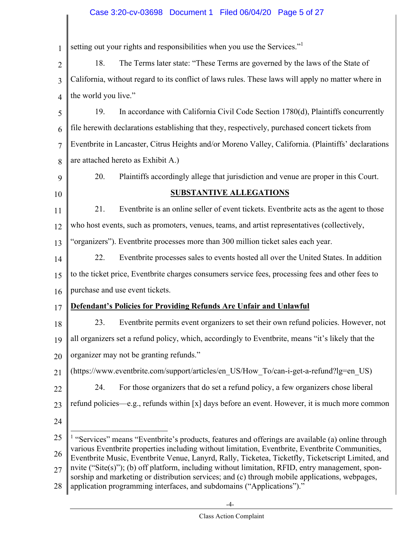## Case 3:20-cv-03698 Document 1 Filed 06/04/20 Page 5 of 27

| 1              | setting out your rights and responsibilities when you use the Services."                                                                                                                                                                                                    |  |
|----------------|-----------------------------------------------------------------------------------------------------------------------------------------------------------------------------------------------------------------------------------------------------------------------------|--|
| $\overline{2}$ | The Terms later state: "These Terms are governed by the laws of the State of<br>18.                                                                                                                                                                                         |  |
| 3              | California, without regard to its conflict of laws rules. These laws will apply no matter where in                                                                                                                                                                          |  |
| 4              | the world you live."                                                                                                                                                                                                                                                        |  |
| 5              | In accordance with California Civil Code Section 1780(d), Plaintiffs concurrently<br>19.                                                                                                                                                                                    |  |
| 6              | file herewith declarations establishing that they, respectively, purchased concert tickets from                                                                                                                                                                             |  |
| $\overline{7}$ | Eventbrite in Lancaster, Citrus Heights and/or Moreno Valley, California. (Plaintiffs' declarations                                                                                                                                                                         |  |
| 8              | are attached hereto as Exhibit A.)                                                                                                                                                                                                                                          |  |
| 9              | 20.<br>Plaintiffs accordingly allege that jurisdiction and venue are proper in this Court.                                                                                                                                                                                  |  |
| 10             | <b>SUBSTANTIVE ALLEGATIONS</b>                                                                                                                                                                                                                                              |  |
| 11             | Eventbrite is an online seller of event tickets. Eventbrite acts as the agent to those<br>21.                                                                                                                                                                               |  |
| 12             | who host events, such as promoters, venues, teams, and artist representatives (collectively,                                                                                                                                                                                |  |
| 13             | "organizers"). Eventbrite processes more than 300 million ticket sales each year.                                                                                                                                                                                           |  |
| 14             | Eventbrite processes sales to events hosted all over the United States. In addition<br>22.                                                                                                                                                                                  |  |
| 15             | to the ticket price, Eventbrite charges consumers service fees, processing fees and other fees to                                                                                                                                                                           |  |
| 16             | purchase and use event tickets.                                                                                                                                                                                                                                             |  |
| 17             | <b>Defendant's Policies for Providing Refunds Are Unfair and Unlawful</b>                                                                                                                                                                                                   |  |
| 18             | 23.<br>Eventbrite permits event organizers to set their own refund policies. However, not                                                                                                                                                                                   |  |
| 19             | all organizers set a refund policy, which, accordingly to Eventbrite, means "it's likely that the                                                                                                                                                                           |  |
| 20             | organizer may not be granting refunds."                                                                                                                                                                                                                                     |  |
| 21             | (https://www.eventbrite.com/support/articles/en US/How To/can-i-get-a-refund?lg=en US)                                                                                                                                                                                      |  |
| 22             | For those organizers that do set a refund policy, a few organizers chose liberal<br>24.                                                                                                                                                                                     |  |
| 23             | refund policies—e.g., refunds within [x] days before an event. However, it is much more common                                                                                                                                                                              |  |
| 24             |                                                                                                                                                                                                                                                                             |  |
| 25             | <sup>1</sup> "Services" means "Eventbrite's products, features and offerings are available (a) online through                                                                                                                                                               |  |
| 26             | various Eventbrite properties including without limitation, Eventbrite, Eventbrite Communities,<br>Eventbrite Music, Eventbrite Venue, Lanyrd, Rally, Ticketea, Ticketfly, Ticketscript Limited, and                                                                        |  |
| 27             | nvite ("Site(s)"); (b) off platform, including without limitation, RFID, entry management, spon-<br>sorship and marketing or distribution services; and (c) through mobile applications, webpages,<br>application programming interfaces, and subdomains ("Applications")." |  |
| 28             |                                                                                                                                                                                                                                                                             |  |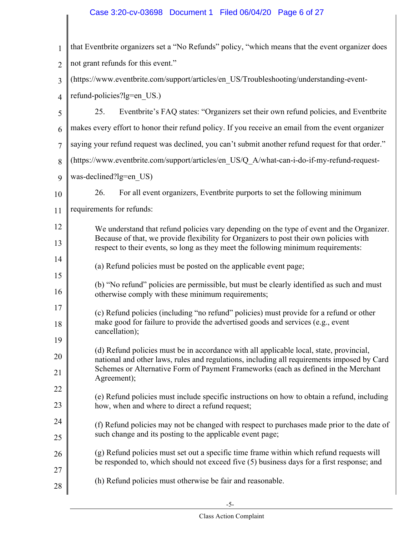## Case 3:20-cv-03698 Document 1 Filed 06/04/20 Page 6 of 27

 $\parallel$ 

| $\mathbf{1}$   | that Eventbrite organizers set a "No Refunds" policy, "which means that the event organizer does                                                                                 |
|----------------|----------------------------------------------------------------------------------------------------------------------------------------------------------------------------------|
| $\overline{2}$ | not grant refunds for this event."                                                                                                                                               |
| 3              | (https://www.eventbrite.com/support/articles/en_US/Troubleshooting/understanding-event-                                                                                          |
| $\overline{4}$ | refund-policies?lg=en US.)                                                                                                                                                       |
| 5              | 25.<br>Eventbrite's FAQ states: "Organizers set their own refund policies, and Eventbrite                                                                                        |
| 6              | makes every effort to honor their refund policy. If you receive an email from the event organizer                                                                                |
| 7              | saying your refund request was declined, you can't submit another refund request for that order."                                                                                |
| 8              | (https://www.eventbrite.com/support/articles/en_US/Q_A/what-can-i-do-if-my-refund-request-                                                                                       |
| 9              | was-declined?lg=en US)                                                                                                                                                           |
| 10             | 26.<br>For all event organizers, Eventbrite purports to set the following minimum                                                                                                |
| 11             | requirements for refunds:                                                                                                                                                        |
| 12             | We understand that refund policies vary depending on the type of event and the Organizer.                                                                                        |
| 13             | Because of that, we provide flexibility for Organizers to post their own policies with<br>respect to their events, so long as they meet the following minimum requirements:      |
| 14             | (a) Refund policies must be posted on the applicable event page;                                                                                                                 |
| 15<br>16       | (b) "No refund" policies are permissible, but must be clearly identified as such and must<br>otherwise comply with these minimum requirements;                                   |
| 17             | (c) Refund policies (including "no refund" policies) must provide for a refund or other                                                                                          |
| 18             | make good for failure to provide the advertised goods and services (e.g., event<br>cancellation);                                                                                |
| 19             | (d) Refund policies must be in accordance with all applicable local, state, provincial,                                                                                          |
| 20             | national and other laws, rules and regulations, including all requirements imposed by Card<br>Schemes or Alternative Form of Payment Frameworks (each as defined in the Merchant |
| 21             | Agreement);                                                                                                                                                                      |
| 22<br>23       | (e) Refund policies must include specific instructions on how to obtain a refund, including<br>how, when and where to direct a refund request;                                   |
| 24             |                                                                                                                                                                                  |
| 25             | (f) Refund policies may not be changed with respect to purchases made prior to the date of<br>such change and its posting to the applicable event page;                          |
| 26             | (g) Refund policies must set out a specific time frame within which refund requests will                                                                                         |
| 27             | be responded to, which should not exceed five (5) business days for a first response; and                                                                                        |
| 28             | (h) Refund policies must otherwise be fair and reasonable.                                                                                                                       |
|                |                                                                                                                                                                                  |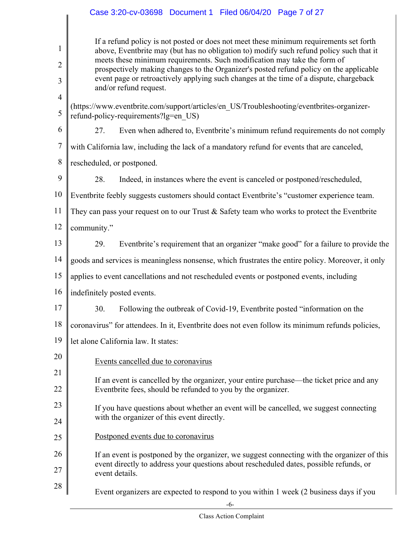|                                     | Case 3:20-cv-03698  Document 1  Filed 06/04/20  Page 7 of 27                                                                                                                                                                                                                                                                                                                                                                                                                |
|-------------------------------------|-----------------------------------------------------------------------------------------------------------------------------------------------------------------------------------------------------------------------------------------------------------------------------------------------------------------------------------------------------------------------------------------------------------------------------------------------------------------------------|
| $\mathbf{1}$<br>$\overline{2}$<br>3 | If a refund policy is not posted or does not meet these minimum requirements set forth<br>above, Eventbrite may (but has no obligation to) modify such refund policy such that it<br>meets these minimum requirements. Such modification may take the form of<br>prospectively making changes to the Organizer's posted refund policy on the applicable<br>event page or retroactively applying such changes at the time of a dispute, chargeback<br>and/or refund request. |
| $\overline{4}$<br>5                 | (https://www.eventbrite.com/support/articles/en_US/Troubleshooting/eventbrites-organizer-<br>refund-policy-requirements?lg=en US)                                                                                                                                                                                                                                                                                                                                           |
| 6                                   | Even when adhered to, Eventbrite's minimum refund requirements do not comply<br>27.                                                                                                                                                                                                                                                                                                                                                                                         |
| $\tau$                              | with California law, including the lack of a mandatory refund for events that are canceled,                                                                                                                                                                                                                                                                                                                                                                                 |
| 8                                   | rescheduled, or postponed.                                                                                                                                                                                                                                                                                                                                                                                                                                                  |
| 9                                   | 28.<br>Indeed, in instances where the event is canceled or postponed/rescheduled,                                                                                                                                                                                                                                                                                                                                                                                           |
| 10                                  | Eventbrite feebly suggests customers should contact Eventbrite's "customer experience team.                                                                                                                                                                                                                                                                                                                                                                                 |
| 11                                  | They can pass your request on to our Trust $\&$ Safety team who works to protect the Eventbrite                                                                                                                                                                                                                                                                                                                                                                             |
| 12                                  | community."                                                                                                                                                                                                                                                                                                                                                                                                                                                                 |
| 13                                  | Eventbrite's requirement that an organizer "make good" for a failure to provide the<br>29.                                                                                                                                                                                                                                                                                                                                                                                  |
| 14                                  | goods and services is meaningless nonsense, which frustrates the entire policy. Moreover, it only                                                                                                                                                                                                                                                                                                                                                                           |
| 15                                  | applies to event cancellations and not rescheduled events or postponed events, including                                                                                                                                                                                                                                                                                                                                                                                    |
| 16                                  | indefinitely posted events.                                                                                                                                                                                                                                                                                                                                                                                                                                                 |
| 17                                  | Following the outbreak of Covid-19, Eventbrite posted "information on the<br>30.                                                                                                                                                                                                                                                                                                                                                                                            |
| 18                                  | coronavirus" for attendees. In it, Eventbrite does not even follow its minimum refunds policies,                                                                                                                                                                                                                                                                                                                                                                            |
| 19                                  | let alone California law. It states:                                                                                                                                                                                                                                                                                                                                                                                                                                        |
| 20                                  | Events cancelled due to coronavirus                                                                                                                                                                                                                                                                                                                                                                                                                                         |
| 21                                  | If an event is cancelled by the organizer, your entire purchase—the ticket price and any                                                                                                                                                                                                                                                                                                                                                                                    |
| 22                                  | Eventbrite fees, should be refunded to you by the organizer.                                                                                                                                                                                                                                                                                                                                                                                                                |
| 23                                  | If you have questions about whether an event will be cancelled, we suggest connecting                                                                                                                                                                                                                                                                                                                                                                                       |
| 24                                  | with the organizer of this event directly.                                                                                                                                                                                                                                                                                                                                                                                                                                  |
| 25                                  | Postponed events due to coronavirus                                                                                                                                                                                                                                                                                                                                                                                                                                         |
| 26                                  | If an event is postponed by the organizer, we suggest connecting with the organizer of this                                                                                                                                                                                                                                                                                                                                                                                 |
| 27                                  | event directly to address your questions about rescheduled dates, possible refunds, or<br>event details.                                                                                                                                                                                                                                                                                                                                                                    |
| 28                                  | Event organizers are expected to respond to you within 1 week (2 business days if you                                                                                                                                                                                                                                                                                                                                                                                       |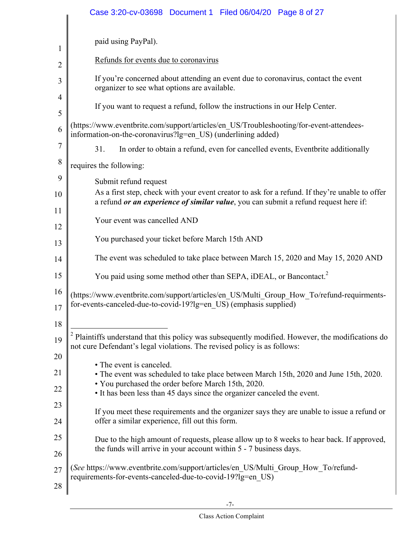|                | Case 3:20-cv-03698 Document 1 Filed 06/04/20 Page 8 of 27                                                                                                                              |
|----------------|----------------------------------------------------------------------------------------------------------------------------------------------------------------------------------------|
| $\mathbf{1}$   | paid using PayPal).                                                                                                                                                                    |
| $\overline{2}$ | Refunds for events due to coronavirus                                                                                                                                                  |
| 3              | If you're concerned about attending an event due to coronavirus, contact the event<br>organizer to see what options are available.                                                     |
| 4              |                                                                                                                                                                                        |
| 5              | If you want to request a refund, follow the instructions in our Help Center.                                                                                                           |
| 6              | (https://www.eventbrite.com/support/articles/en_US/Troubleshooting/for-event-attendees-<br>information-on-the-coronavirus?lg=en US) (underlining added)                                |
| 7              | 31.<br>In order to obtain a refund, even for cancelled events, Eventbrite additionally                                                                                                 |
| 8              | requires the following:                                                                                                                                                                |
| 9              | Submit refund request                                                                                                                                                                  |
| 10             | As a first step, check with your event creator to ask for a refund. If they're unable to offer<br>a refund or an experience of similar value, you can submit a refund request here if: |
| 11<br>12       | Your event was cancelled AND                                                                                                                                                           |
| 13             | You purchased your ticket before March 15th AND                                                                                                                                        |
| 14             | The event was scheduled to take place between March 15, 2020 and May 15, 2020 AND                                                                                                      |
| 15             | You paid using some method other than SEPA, iDEAL, or Bancontact. <sup>2</sup>                                                                                                         |
| 16<br>17       | (https://www.eventbrite.com/support/articles/en_US/Multi_Group_How_To/refund-requirments-<br>for-events-canceled-due-to-covid-19?lg=en_US) (emphasis supplied)                         |
| 18             |                                                                                                                                                                                        |
| 19             | $2$ Plaintiffs understand that this policy was subsequently modified. However, the modifications do<br>not cure Defendant's legal violations. The revised policy is as follows:        |
| 20             |                                                                                                                                                                                        |
| 21             | • The event is canceled.<br>• The event was scheduled to take place between March 15th, 2020 and June 15th, 2020.                                                                      |
| 22             | • You purchased the order before March 15th, 2020.<br>• It has been less than 45 days since the organizer canceled the event.                                                          |
| 23             | If you meet these requirements and the organizer says they are unable to issue a refund or                                                                                             |
| 24             | offer a similar experience, fill out this form.                                                                                                                                        |
| 25             | Due to the high amount of requests, please allow up to 8 weeks to hear back. If approved,<br>the funds will arrive in your account within 5 - 7 business days.                         |
| 26             |                                                                                                                                                                                        |
| 27             | (See https://www.eventbrite.com/support/articles/en US/Multi Group How To/refund-<br>requirements-for-events-canceled-due-to-covid-19?lg=en US)                                        |
| 28             |                                                                                                                                                                                        |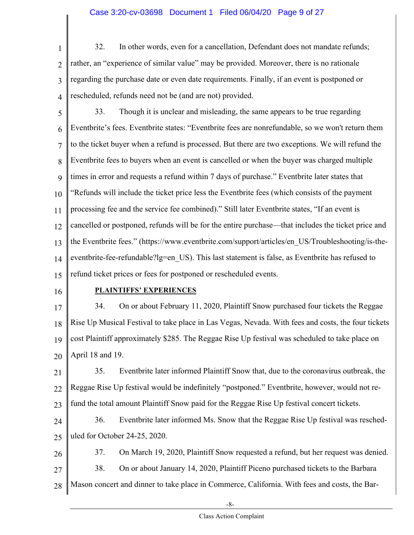#### Case 3:20-cv-03698 Document 1 Filed 06/04/20 Page 9 of 27

1 2 3 4 32. In other words, even for a cancellation, Defendant does not mandate refunds; rather, an "experience of similar value" may be provided. Moreover, there is no rationale regarding the purchase date or even date requirements. Finally, if an event is postponed or rescheduled, refunds need not be (and are not) provided.

5 6 7 8 9 10 11 12 13 14 15 33. Though it is unclear and misleading, the same appears to be true regarding Eventbrite's fees. Eventbrite states: "Eventbrite fees are nonrefundable, so we won't return them to the ticket buyer when a refund is processed. But there are two exceptions. We will refund the Eventbrite fees to buyers when an event is cancelled or when the buyer was charged multiple times in error and requests a refund within 7 days of purchase." Eventbrite later states that "Refunds will include the ticket price less the Eventbrite fees (which consists of the payment processing fee and the service fee combined)." Still later Eventbrite states, "If an event is cancelled or postponed, refunds will be for the entire purchase—that includes the ticket price and the Eventbrite fees." (https://www.eventbrite.com/support/articles/en\_US/Troubleshooting/is-theeventbrite-fee-refundable?lg=en\_US). This last statement is false, as Eventbrite has refused to refund ticket prices or fees for postponed or rescheduled events.

16

#### **PLAINTIFFS' EXPERIENCES**

17 18 19 20 34. On or about February 11, 2020, Plaintiff Snow purchased four tickets the Reggae Rise Up Musical Festival to take place in Las Vegas, Nevada. With fees and costs, the four tickets cost Plaintiff approximately \$285. The Reggae Rise Up festival was scheduled to take place on April 18 and 19.

21 22 23 35. Eventbrite later informed Plaintiff Snow that, due to the coronavirus outbreak, the Reggae Rise Up festival would be indefinitely "postponed." Eventbrite, however, would not refund the total amount Plaintiff Snow paid for the Reggae Rise Up festival concert tickets.

24 25 36. Eventbrite later informed Ms. Snow that the Reggae Rise Up festival was rescheduled for October 24-25, 2020.

26 27 28 37. On March 19, 2020, Plaintiff Snow requested a refund, but her request was denied. 38. On or about January 14, 2020, Plaintiff Piceno purchased tickets to the Barbara Mason concert and dinner to take place in Commerce, California. With fees and costs, the Bar-

-8-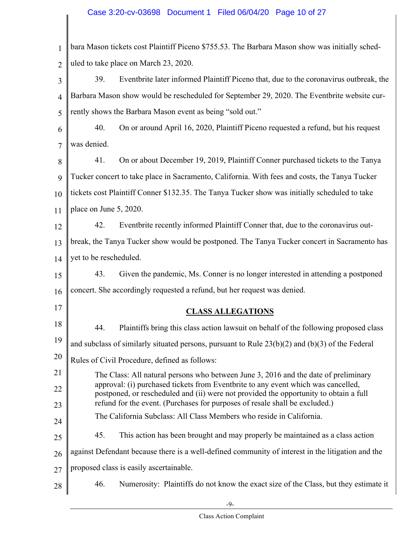#### Case 3:20-cv-03698 Document 1 Filed 06/04/20 Page 10 of 27

|                      | 1   bara Mason tickets cost Plaintiff Piceno \$755.53. The Barbara Mason show was initially sched- |
|----------------------|----------------------------------------------------------------------------------------------------|
|                      | 2   uled to take place on March 23, 2020.                                                          |
| $3 \parallel$<br>39. | Eventbrite later informed Plaintiff Piceno that, due to the coronavirus outbreak, the              |

4 5 Barbara Mason show would be rescheduled for September 29, 2020. The Eventbrite website currently shows the Barbara Mason event as being "sold out."

6 7 40. On or around April 16, 2020, Plaintiff Piceno requested a refund, but his request was denied.

8 9 10 11 41. On or about December 19, 2019, Plaintiff Conner purchased tickets to the Tanya Tucker concert to take place in Sacramento, California. With fees and costs, the Tanya Tucker tickets cost Plaintiff Conner \$132.35. The Tanya Tucker show was initially scheduled to take place on June 5, 2020.

12 13 14 42. Eventbrite recently informed Plaintiff Conner that, due to the coronavirus outbreak, the Tanya Tucker show would be postponed. The Tanya Tucker concert in Sacramento has yet to be rescheduled.

15 16 43. Given the pandemic, Ms. Conner is no longer interested in attending a postponed concert. She accordingly requested a refund, but her request was denied.

17

#### **CLASS ALLEGATIONS**

- 18 19 20 21 44. Plaintiffs bring this class action lawsuit on behalf of the following proposed class and subclass of similarly situated persons, pursuant to Rule 23(b)(2) and (b)(3) of the Federal Rules of Civil Procedure, defined as follows:
- 22 23 The Class: All natural persons who between June 3, 2016 and the date of preliminary approval: (i) purchased tickets from Eventbrite to any event which was cancelled, postponed, or rescheduled and (ii) were not provided the opportunity to obtain a full refund for the event. (Purchases for purposes of resale shall be excluded.)
- 24 The California Subclass: All Class Members who reside in California.
- 25 45. This action has been brought and may properly be maintained as a class action
- 26 against Defendant because there is a well-defined community of interest in the litigation and the
- 27 proposed class is easily ascertainable.
- 28 46. Numerosity: Plaintiffs do not know the exact size of the Class, but they estimate it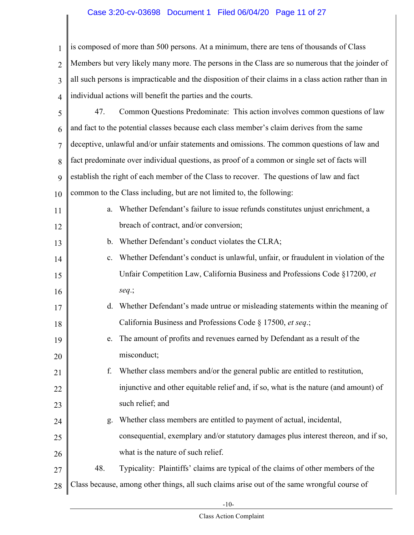#### Case 3:20-cv-03698 Document 1 Filed 06/04/20 Page 11 of 27

1 2 3 4 is composed of more than 500 persons. At a minimum, there are tens of thousands of Class Members but very likely many more. The persons in the Class are so numerous that the joinder of all such persons is impracticable and the disposition of their claims in a class action rather than in individual actions will benefit the parties and the courts.

5 6 7 8 9 10 47. Common Questions Predominate: This action involves common questions of law and fact to the potential classes because each class member's claim derives from the same deceptive, unlawful and/or unfair statements and omissions. The common questions of law and fact predominate over individual questions, as proof of a common or single set of facts will establish the right of each member of the Class to recover. The questions of law and fact common to the Class including, but are not limited to, the following:

| 11 | Whether Defendant's failure to issue refunds constitutes unjust enrichment, a<br>a. |
|----|-------------------------------------------------------------------------------------|
| 12 | breach of contract, and/or conversion;                                              |
| 13 | Whether Defendant's conduct violates the CLRA;<br>$b_{-}$                           |

- 14 15 16 c. Whether Defendant's conduct is unlawful, unfair, or fraudulent in violation of the Unfair Competition Law, California Business and Professions Code §17200, *et seq*.;
- 17 18 d. Whether Defendant's made untrue or misleading statements within the meaning of California Business and Professions Code § 17500, *et seq*.;
- 19 20 e. The amount of profits and revenues earned by Defendant as a result of the misconduct;
- 21 22 23 f. Whether class members and/or the general public are entitled to restitution, injunctive and other equitable relief and, if so, what is the nature (and amount) of such relief; and
- 24 25 g. Whether class members are entitled to payment of actual, incidental, consequential, exemplary and/or statutory damages plus interest thereon, and if so,
- 26 what is the nature of such relief.

27

- 48. Typicality: Plaintiffs' claims are typical of the claims of other members of the
- 28 Class because, among other things, all such claims arise out of the same wrongful course of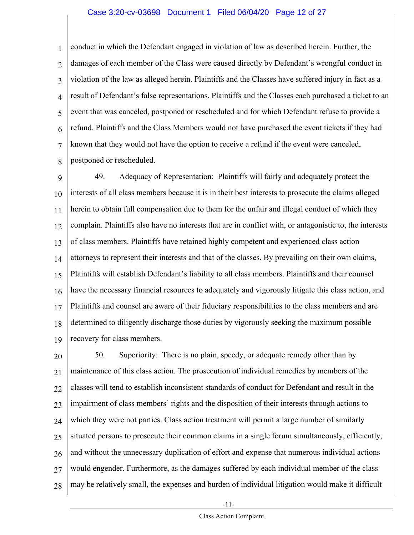#### Case 3:20-cv-03698 Document 1 Filed 06/04/20 Page 12 of 27

1 2 3 4 5 6 7 8 conduct in which the Defendant engaged in violation of law as described herein. Further, the damages of each member of the Class were caused directly by Defendant's wrongful conduct in violation of the law as alleged herein. Plaintiffs and the Classes have suffered injury in fact as a result of Defendant's false representations. Plaintiffs and the Classes each purchased a ticket to an event that was canceled, postponed or rescheduled and for which Defendant refuse to provide a refund. Plaintiffs and the Class Members would not have purchased the event tickets if they had known that they would not have the option to receive a refund if the event were canceled, postponed or rescheduled.

9 10 11 12 13 14 15 16 17 18 19 49. Adequacy of Representation: Plaintiffs will fairly and adequately protect the interests of all class members because it is in their best interests to prosecute the claims alleged herein to obtain full compensation due to them for the unfair and illegal conduct of which they complain. Plaintiffs also have no interests that are in conflict with, or antagonistic to, the interests of class members. Plaintiffs have retained highly competent and experienced class action attorneys to represent their interests and that of the classes. By prevailing on their own claims, Plaintiffs will establish Defendant's liability to all class members. Plaintiffs and their counsel have the necessary financial resources to adequately and vigorously litigate this class action, and Plaintiffs and counsel are aware of their fiduciary responsibilities to the class members and are determined to diligently discharge those duties by vigorously seeking the maximum possible recovery for class members.

20 21 22 23 24 25 26 27 28 50. Superiority: There is no plain, speedy, or adequate remedy other than by maintenance of this class action. The prosecution of individual remedies by members of the classes will tend to establish inconsistent standards of conduct for Defendant and result in the impairment of class members' rights and the disposition of their interests through actions to which they were not parties. Class action treatment will permit a large number of similarly situated persons to prosecute their common claims in a single forum simultaneously, efficiently, and without the unnecessary duplication of effort and expense that numerous individual actions would engender. Furthermore, as the damages suffered by each individual member of the class may be relatively small, the expenses and burden of individual litigation would make it difficult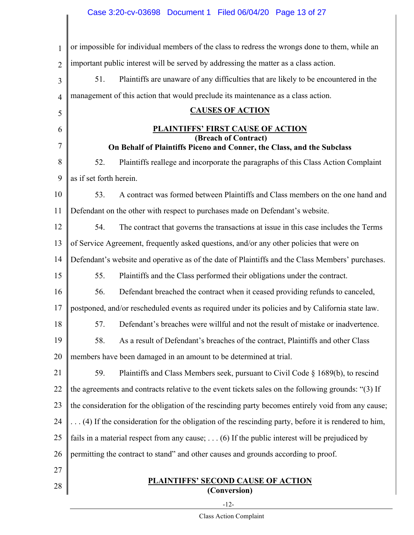| $\mathbf{1}$   | or impossible for individual members of the class to redress the wrongs done to them, while an       |  |
|----------------|------------------------------------------------------------------------------------------------------|--|
| $\overline{2}$ | important public interest will be served by addressing the matter as a class action.                 |  |
| 3              | Plaintiffs are unaware of any difficulties that are likely to be encountered in the<br>51.           |  |
| $\overline{4}$ | management of this action that would preclude its maintenance as a class action.                     |  |
| 5              | <b>CAUSES OF ACTION</b>                                                                              |  |
| 6              | <b>PLAINTIFFS' FIRST CAUSE OF ACTION</b>                                                             |  |
| 7              | (Breach of Contract)<br>On Behalf of Plaintiffs Piceno and Conner, the Class, and the Subclass       |  |
| 8              | 52.<br>Plaintiffs reallege and incorporate the paragraphs of this Class Action Complaint             |  |
| 9              | as if set forth herein.                                                                              |  |
| 10             | A contract was formed between Plaintiffs and Class members on the one hand and<br>53.                |  |
| 11             | Defendant on the other with respect to purchases made on Defendant's website.                        |  |
| 12             | 54.<br>The contract that governs the transactions at issue in this case includes the Terms           |  |
| 13             | of Service Agreement, frequently asked questions, and/or any other policies that were on             |  |
| 14             | Defendant's website and operative as of the date of Plaintiffs and the Class Members' purchases.     |  |
| 15             | 55.<br>Plaintiffs and the Class performed their obligations under the contract.                      |  |
| 16             | 56.<br>Defendant breached the contract when it ceased providing refunds to canceled,                 |  |
| 17             | postponed, and/or rescheduled events as required under its policies and by California state law.     |  |
| 18             | 57.<br>Defendant's breaches were willful and not the result of mistake or inadvertence.              |  |
| 19             | 58.<br>As a result of Defendant's breaches of the contract, Plaintiffs and other Class               |  |
| 20             | members have been damaged in an amount to be determined at trial.                                    |  |
| 21             | 59.<br>Plaintiffs and Class Members seek, pursuant to Civil Code § 1689(b), to rescind               |  |
| 22             | the agreements and contracts relative to the event tickets sales on the following grounds: "(3) If   |  |
| 23             | the consideration for the obligation of the rescinding party becomes entirely void from any cause;   |  |
| 24             | (4) If the consideration for the obligation of the rescinding party, before it is rendered to him,   |  |
| 25             | fails in a material respect from any cause; $\dots$ (6) If the public interest will be prejudiced by |  |
| 26             | permitting the contract to stand" and other causes and grounds according to proof.                   |  |
| 27             |                                                                                                      |  |
| 28             | <b>PLAINTIFFS' SECOND CAUSE OF ACTION</b><br>(Conversion)                                            |  |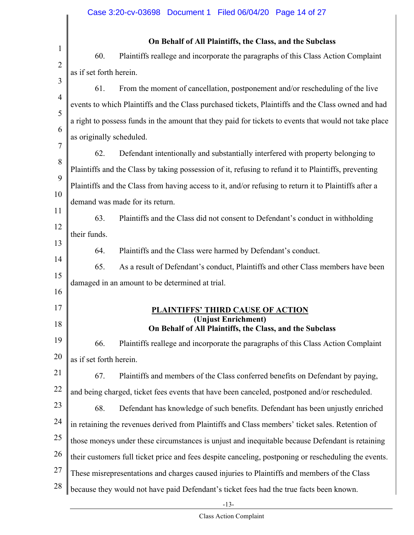$\mathbf{I}$ 

| $\mathbf{1}$   |                          | On Behalf of All Plaintiffs, the Class, and the Subclass                                              |
|----------------|--------------------------|-------------------------------------------------------------------------------------------------------|
| $\overline{2}$ | 60.                      | Plaintiffs reallege and incorporate the paragraphs of this Class Action Complaint                     |
| 3              | as if set forth herein.  |                                                                                                       |
|                | 61.                      | From the moment of cancellation, postponement and/or rescheduling of the live                         |
| 4              |                          | events to which Plaintiffs and the Class purchased tickets, Plaintiffs and the Class owned and had    |
| 5              |                          | a right to possess funds in the amount that they paid for tickets to events that would not take place |
| 6              | as originally scheduled. |                                                                                                       |
| 7              | 62.                      | Defendant intentionally and substantially interfered with property belonging to                       |
| 8<br>9         |                          | Plaintiffs and the Class by taking possession of it, refusing to refund it to Plaintiffs, preventing  |
|                |                          | Plaintiffs and the Class from having access to it, and/or refusing to return it to Plaintiffs after a |
| 10<br>11       |                          | demand was made for its return.                                                                       |
|                | 63.                      | Plaintiffs and the Class did not consent to Defendant's conduct in withholding                        |
| 12<br>13       | their funds.             |                                                                                                       |
|                | 64.                      | Plaintiffs and the Class were harmed by Defendant's conduct.                                          |
| 14             | 65.                      | As a result of Defendant's conduct, Plaintiffs and other Class members have been                      |
| 15<br>16       |                          | damaged in an amount to be determined at trial.                                                       |
| 17             |                          |                                                                                                       |
| 18             |                          | <b>PLAINTIFFS' THIRD CAUSE OF ACTION</b><br>(Unjust Enrichment)                                       |
|                |                          | On Behalf of All Plaintiffs, the Class, and the Subclass                                              |
|                | 66.                      | Plaintiffs reallege and incorporate the paragraphs of this Class Action Complaint                     |
|                | as if set forth herein.  |                                                                                                       |
|                | 67.                      | Plaintiffs and members of the Class conferred benefits on Defendant by paying,                        |
|                |                          | and being charged, ticket fees events that have been canceled, postponed and/or rescheduled.          |
| 23<br>24       | 68.                      | Defendant has knowledge of such benefits. Defendant has been unjustly enriched                        |
|                |                          | in retaining the revenues derived from Plaintiffs and Class members' ticket sales. Retention of       |
| 25             |                          | those moneys under these circumstances is unjust and inequitable because Defendant is retaining       |
| 26             |                          | their customers full ticket price and fees despite canceling, postponing or rescheduling the events.  |
| 27             |                          | These misrepresentations and charges caused injuries to Plaintiffs and members of the Class           |
| 28             |                          | because they would not have paid Defendant's ticket fees had the true facts been known.               |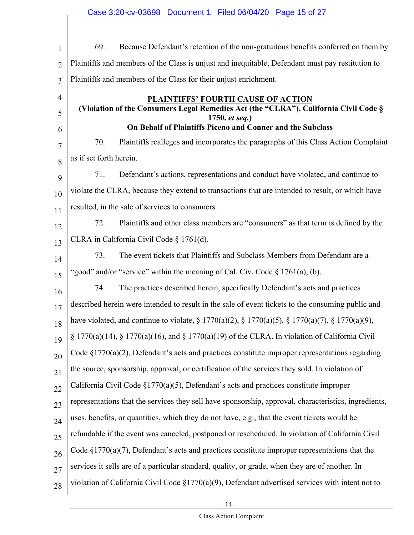$\mathsf I$ 

| $\mathbf{1}$   | Because Defendant's retention of the non-gratuitous benefits conferred on them by<br>69.               |
|----------------|--------------------------------------------------------------------------------------------------------|
| $\overline{2}$ | Plaintiffs and members of the Class is unjust and inequitable, Defendant must pay restitution to       |
| 3              | Plaintiffs and members of the Class for their unjust enrichment.                                       |
| 4              | <b>PLAINTIFFS' FOURTH CAUSE OF ACTION</b>                                                              |
| 5              | (Violation of the Consumers Legal Remedies Act (the "CLRA"), California Civil Code §<br>1750, et seq.) |
| 6              | On Behalf of Plaintiffs Piceno and Conner and the Subclass                                             |
| 7              | 70.<br>Plaintiffs realleges and incorporates the paragraphs of this Class Action Complaint             |
| 8              | as if set forth herein.                                                                                |
| 9              | Defendant's actions, representations and conduct have violated, and continue to<br>71.                 |
| 10             | violate the CLRA, because they extend to transactions that are intended to result, or which have       |
| 11             | resulted, in the sale of services to consumers.                                                        |
| 12             | Plaintiffs and other class members are "consumers" as that term is defined by the<br>72.               |
| 13             | CLRA in California Civil Code § 1761(d).                                                               |
| 14             | 73.<br>The event tickets that Plaintiffs and Subclass Members from Defendant are a                     |
| 15             | "good" and/or "service" within the meaning of Cal. Civ. Code $\S 1761(a)$ , (b).                       |
| 16             | The practices described herein, specifically Defendant's acts and practices<br>74.                     |
| 17             | described herein were intended to result in the sale of event tickets to the consuming public and      |
| 18             | have violated, and continue to violate, § 1770(a)(2), § 1770(a)(5), § 1770(a)(7), § 1770(a)(9),        |
| 19             | $\S$ 1770(a)(14), $\S$ 1770(a)(16), and $\S$ 1770(a)(19) of the CLRA. In violation of California Civil |
| 20             | Code $\S 1770(a)(2)$ , Defendant's acts and practices constitute improper representations regarding    |
| 21             | the source, sponsorship, approval, or certification of the services they sold. In violation of         |
| 22             | California Civil Code $\S1770(a)(5)$ , Defendant's acts and practices constitute improper              |
| 23             | representations that the services they sell have sponsorship, approval, characteristics, ingredients,  |
| 24             | uses, benefits, or quantities, which they do not have, e.g., that the event tickets would be           |
| 25             | refundable if the event was canceled, postponed or rescheduled. In violation of California Civil       |
| 26             | Code $\S 1770(a)(7)$ , Defendant's acts and practices constitute improper representations that the     |
| 27             | services it sells are of a particular standard, quality, or grade, when they are of another. In        |
| 28             | violation of California Civil Code $\S1770(a)(9)$ , Defendant advertised services with intent not to   |
|                |                                                                                                        |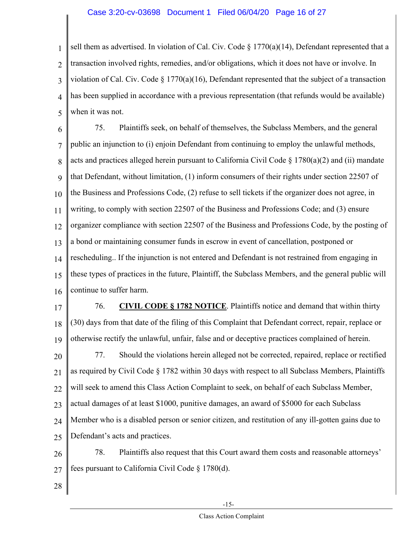#### Case 3:20-cv-03698 Document 1 Filed 06/04/20 Page 16 of 27

1 2 3 4 5 sell them as advertised. In violation of Cal. Civ. Code  $\S 1770(a)(14)$ , Defendant represented that a transaction involved rights, remedies, and/or obligations, which it does not have or involve. In violation of Cal. Civ. Code § 1770(a)(16), Defendant represented that the subject of a transaction has been supplied in accordance with a previous representation (that refunds would be available) when it was not.

6 7 8 9 10 11 12 13 14 15 16 75. Plaintiffs seek, on behalf of themselves, the Subclass Members, and the general public an injunction to (i) enjoin Defendant from continuing to employ the unlawful methods, acts and practices alleged herein pursuant to California Civil Code  $\S 1780(a)(2)$  and (ii) mandate that Defendant, without limitation, (1) inform consumers of their rights under section 22507 of the Business and Professions Code, (2) refuse to sell tickets if the organizer does not agree, in writing, to comply with section 22507 of the Business and Professions Code; and (3) ensure organizer compliance with section 22507 of the Business and Professions Code, by the posting of a bond or maintaining consumer funds in escrow in event of cancellation, postponed or rescheduling.. If the injunction is not entered and Defendant is not restrained from engaging in these types of practices in the future, Plaintiff, the Subclass Members, and the general public will continue to suffer harm.

17 18 19 76. **CIVIL CODE § 1782 NOTICE**. Plaintiffs notice and demand that within thirty (30) days from that date of the filing of this Complaint that Defendant correct, repair, replace or otherwise rectify the unlawful, unfair, false and or deceptive practices complained of herein.

20 21 22 23 24 25 77. Should the violations herein alleged not be corrected, repaired, replace or rectified as required by Civil Code § 1782 within 30 days with respect to all Subclass Members, Plaintiffs will seek to amend this Class Action Complaint to seek, on behalf of each Subclass Member, actual damages of at least \$1000, punitive damages, an award of \$5000 for each Subclass Member who is a disabled person or senior citizen, and restitution of any ill-gotten gains due to Defendant's acts and practices.

26 27 78. Plaintiffs also request that this Court award them costs and reasonable attorneys' fees pursuant to California Civil Code § 1780(d).

28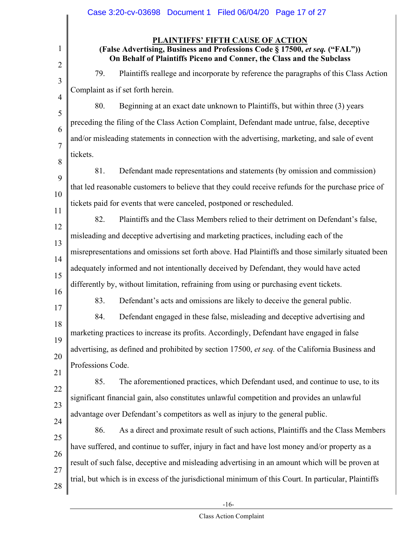|                          | Case 3:20-cv-03698 Document 1 Filed 06/04/20 Page 17 of 27                                                                                                                                       |
|--------------------------|--------------------------------------------------------------------------------------------------------------------------------------------------------------------------------------------------|
| 1<br>$\overline{2}$      | <b>PLAINTIFFS' FIFTH CAUSE OF ACTION</b><br>(False Advertising, Business and Professions Code § 17500, et seq. ("FAL"))<br>On Behalf of Plaintiffs Piceno and Conner, the Class and the Subclass |
| 3                        | Plaintiffs reallege and incorporate by reference the paragraphs of this Class Action<br>79.                                                                                                      |
| $\overline{\mathcal{A}}$ | Complaint as if set forth herein.                                                                                                                                                                |
| 5                        | 80.<br>Beginning at an exact date unknown to Plaintiffs, but within three (3) years                                                                                                              |
| 6                        | preceding the filing of the Class Action Complaint, Defendant made untrue, false, deceptive                                                                                                      |
| 7                        | and/or misleading statements in connection with the advertising, marketing, and sale of event                                                                                                    |
| 8                        | tickets.                                                                                                                                                                                         |
| 9                        | 81.<br>Defendant made representations and statements (by omission and commission)                                                                                                                |
| 10                       | that led reasonable customers to believe that they could receive refunds for the purchase price of                                                                                               |
| 11                       | tickets paid for events that were canceled, postponed or rescheduled.                                                                                                                            |
| 12                       | 82.<br>Plaintiffs and the Class Members relied to their detriment on Defendant's false,                                                                                                          |
| 13                       | misleading and deceptive advertising and marketing practices, including each of the                                                                                                              |
| 14                       | misrepresentations and omissions set forth above. Had Plaintiffs and those similarly situated been                                                                                               |
| 15                       | adequately informed and not intentionally deceived by Defendant, they would have acted                                                                                                           |
| 16                       | differently by, without limitation, refraining from using or purchasing event tickets.                                                                                                           |
| 17                       | 83.<br>Defendant's acts and omissions are likely to deceive the general public.                                                                                                                  |
| 18                       | 84.<br>Defendant engaged in these false, misleading and deceptive advertising and                                                                                                                |
| 19                       | marketing practices to increase its profits. Accordingly, Defendant have engaged in false                                                                                                        |
| 20                       | advertising, as defined and prohibited by section 17500, et seq. of the California Business and                                                                                                  |
| 21                       | Professions Code.                                                                                                                                                                                |
| 22                       | 85.<br>The aforementioned practices, which Defendant used, and continue to use, to its                                                                                                           |
| 23                       | significant financial gain, also constitutes unlawful competition and provides an unlawful                                                                                                       |
| 24                       | advantage over Defendant's competitors as well as injury to the general public.                                                                                                                  |
| 25                       | 86.<br>As a direct and proximate result of such actions, Plaintiffs and the Class Members                                                                                                        |
| 26                       | have suffered, and continue to suffer, injury in fact and have lost money and/or property as a                                                                                                   |
| 27                       | result of such false, deceptive and misleading advertising in an amount which will be proven at                                                                                                  |
| 28                       | trial, but which is in excess of the jurisdictional minimum of this Court. In particular, Plaintiffs                                                                                             |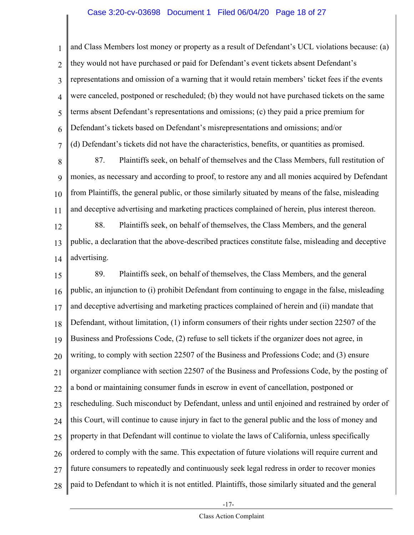#### Case 3:20-cv-03698 Document 1 Filed 06/04/20 Page 18 of 27

1 2 3 4 5 6 7 and Class Members lost money or property as a result of Defendant's UCL violations because: (a) they would not have purchased or paid for Defendant's event tickets absent Defendant's representations and omission of a warning that it would retain members' ticket fees if the events were canceled, postponed or rescheduled; (b) they would not have purchased tickets on the same terms absent Defendant's representations and omissions; (c) they paid a price premium for Defendant's tickets based on Defendant's misrepresentations and omissions; and/or (d) Defendant's tickets did not have the characteristics, benefits, or quantities as promised.

8 9 10 11 87. Plaintiffs seek, on behalf of themselves and the Class Members, full restitution of monies, as necessary and according to proof, to restore any and all monies acquired by Defendant from Plaintiffs, the general public, or those similarly situated by means of the false, misleading and deceptive advertising and marketing practices complained of herein, plus interest thereon.

12 13 14 88. Plaintiffs seek, on behalf of themselves, the Class Members, and the general public, a declaration that the above-described practices constitute false, misleading and deceptive advertising.

15 16 17 18 19 20 21 22 23 24 25 26 27 28 89. Plaintiffs seek, on behalf of themselves, the Class Members, and the general public, an injunction to (i) prohibit Defendant from continuing to engage in the false, misleading and deceptive advertising and marketing practices complained of herein and (ii) mandate that Defendant, without limitation, (1) inform consumers of their rights under section 22507 of the Business and Professions Code, (2) refuse to sell tickets if the organizer does not agree, in writing, to comply with section 22507 of the Business and Professions Code; and (3) ensure organizer compliance with section 22507 of the Business and Professions Code, by the posting of a bond or maintaining consumer funds in escrow in event of cancellation, postponed or rescheduling. Such misconduct by Defendant, unless and until enjoined and restrained by order of this Court, will continue to cause injury in fact to the general public and the loss of money and property in that Defendant will continue to violate the laws of California, unless specifically ordered to comply with the same. This expectation of future violations will require current and future consumers to repeatedly and continuously seek legal redress in order to recover monies paid to Defendant to which it is not entitled. Plaintiffs, those similarly situated and the general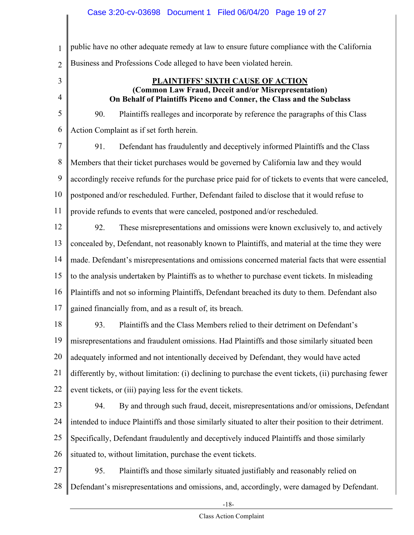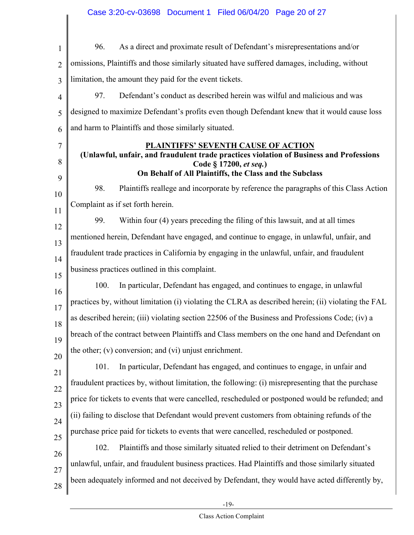## Case 3:20-cv-03698 Document 1 Filed 06/04/20 Page 20 of 27

| $\mathbf{1}$   | 96.<br>As a direct and proximate result of Defendant's misrepresentations and/or                                                                                |
|----------------|-----------------------------------------------------------------------------------------------------------------------------------------------------------------|
| $\overline{2}$ | omissions, Plaintiffs and those similarly situated have suffered damages, including, without                                                                    |
| 3              | limitation, the amount they paid for the event tickets.                                                                                                         |
| $\overline{4}$ | Defendant's conduct as described herein was wilful and malicious and was<br>97.                                                                                 |
| 5              | designed to maximize Defendant's profits even though Defendant knew that it would cause loss                                                                    |
| 6              | and harm to Plaintiffs and those similarly situated.                                                                                                            |
| 7<br>8         | <b>PLAINTIFFS' SEVENTH CAUSE OF ACTION</b><br>(Unlawful, unfair, and fraudulent trade practices violation of Business and Professions<br>Code § 17200, et seq.) |
| 9              | On Behalf of All Plaintiffs, the Class and the Subclass                                                                                                         |
| 10             | 98.<br>Plaintiffs reallege and incorporate by reference the paragraphs of this Class Action                                                                     |
| 11             | Complaint as if set forth herein.                                                                                                                               |
| 12             | 99.<br>Within four (4) years preceding the filing of this lawsuit, and at all times                                                                             |
| 13             | mentioned herein, Defendant have engaged, and continue to engage, in unlawful, unfair, and                                                                      |
| 14             | fraudulent trade practices in California by engaging in the unlawful, unfair, and fraudulent                                                                    |
| 15             | business practices outlined in this complaint.                                                                                                                  |
| 16             | 100.<br>In particular, Defendant has engaged, and continues to engage, in unlawful                                                                              |
| 17             | practices by, without limitation (i) violating the CLRA as described herein; (ii) violating the FAL                                                             |
| 18             | as described herein; (iii) violating section 22506 of the Business and Professions Code; (iv) a                                                                 |
| 19             | breach of the contract between Plaintiffs and Class members on the one hand and Defendant on                                                                    |
| 20             | the other; $(v)$ conversion; and $(vi)$ unjust enrichment.                                                                                                      |
| 21             | 101.<br>In particular, Defendant has engaged, and continues to engage, in unfair and                                                                            |
| 22             | fraudulent practices by, without limitation, the following: (i) misrepresenting that the purchase                                                               |
| 23             | price for tickets to events that were cancelled, rescheduled or postponed would be refunded; and                                                                |
| 24             | (ii) failing to disclose that Defendant would prevent customers from obtaining refunds of the                                                                   |
| 25             | purchase price paid for tickets to events that were cancelled, rescheduled or postponed.                                                                        |
| 26             | Plaintiffs and those similarly situated relied to their detriment on Defendant's<br>102.                                                                        |
| 27             | unlawful, unfair, and fraudulent business practices. Had Plaintiffs and those similarly situated                                                                |
| 28             | been adequately informed and not deceived by Defendant, they would have acted differently by,                                                                   |
|                |                                                                                                                                                                 |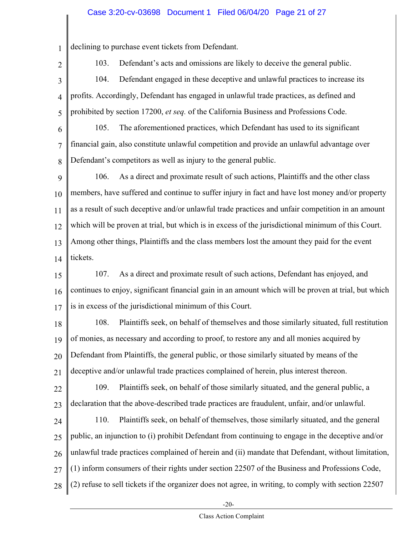#### Case 3:20-cv-03698 Document 1 Filed 06/04/20 Page 21 of 27

1 declining to purchase event tickets from Defendant.

2

103. Defendant's acts and omissions are likely to deceive the general public.

3 4 5 104. Defendant engaged in these deceptive and unlawful practices to increase its profits. Accordingly, Defendant has engaged in unlawful trade practices, as defined and prohibited by section 17200, *et seq.* of the California Business and Professions Code.

6 7 8 105. The aforementioned practices, which Defendant has used to its significant financial gain, also constitute unlawful competition and provide an unlawful advantage over Defendant's competitors as well as injury to the general public.

9 10 11 12 13 14 106. As a direct and proximate result of such actions, Plaintiffs and the other class members, have suffered and continue to suffer injury in fact and have lost money and/or property as a result of such deceptive and/or unlawful trade practices and unfair competition in an amount which will be proven at trial, but which is in excess of the jurisdictional minimum of this Court. Among other things, Plaintiffs and the class members lost the amount they paid for the event tickets.

15 16 17 107. As a direct and proximate result of such actions, Defendant has enjoyed, and continues to enjoy, significant financial gain in an amount which will be proven at trial, but which is in excess of the jurisdictional minimum of this Court.

18 19 20 21 108. Plaintiffs seek, on behalf of themselves and those similarly situated, full restitution of monies, as necessary and according to proof, to restore any and all monies acquired by Defendant from Plaintiffs, the general public, or those similarly situated by means of the deceptive and/or unlawful trade practices complained of herein, plus interest thereon.

22 23 109. Plaintiffs seek, on behalf of those similarly situated, and the general public, a declaration that the above-described trade practices are fraudulent, unfair, and/or unlawful.

24 25 26 27 28 110. Plaintiffs seek, on behalf of themselves, those similarly situated, and the general public, an injunction to (i) prohibit Defendant from continuing to engage in the deceptive and/or unlawful trade practices complained of herein and (ii) mandate that Defendant, without limitation, (1) inform consumers of their rights under section 22507 of the Business and Professions Code, (2) refuse to sell tickets if the organizer does not agree, in writing, to comply with section 22507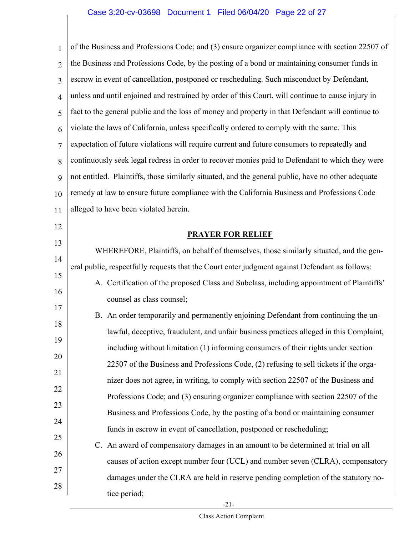1 2 3 4 5 6 7 8 9 10 11 12 of the Business and Professions Code; and (3) ensure organizer compliance with section 22507 of the Business and Professions Code, by the posting of a bond or maintaining consumer funds in escrow in event of cancellation, postponed or rescheduling. Such misconduct by Defendant, unless and until enjoined and restrained by order of this Court, will continue to cause injury in fact to the general public and the loss of money and property in that Defendant will continue to violate the laws of California, unless specifically ordered to comply with the same. This expectation of future violations will require current and future consumers to repeatedly and continuously seek legal redress in order to recover monies paid to Defendant to which they were not entitled. Plaintiffs, those similarly situated, and the general public, have no other adequate remedy at law to ensure future compliance with the California Business and Professions Code alleged to have been violated herein.

**PRAYER FOR RELIEF** 

WHEREFORE, Plaintiffs, on behalf of themselves, those similarly situated, and the general public, respectfully requests that the Court enter judgment against Defendant as follows:

13

14

15

16

17

18

19

20

21

22

23

24

25

A. Certification of the proposed Class and Subclass, including appointment of Plaintiffs' counsel as class counsel;

B. An order temporarily and permanently enjoining Defendant from continuing the unlawful, deceptive, fraudulent, and unfair business practices alleged in this Complaint, including without limitation (1) informing consumers of their rights under section 22507 of the Business and Professions Code, (2) refusing to sell tickets if the organizer does not agree, in writing, to comply with section 22507 of the Business and Professions Code; and (3) ensuring organizer compliance with section 22507 of the Business and Professions Code, by the posting of a bond or maintaining consumer funds in escrow in event of cancellation, postponed or rescheduling;

26 27 28 C. An award of compensatory damages in an amount to be determined at trial on all causes of action except number four (UCL) and number seven (CLRA), compensatory damages under the CLRA are held in reserve pending completion of the statutory notice period;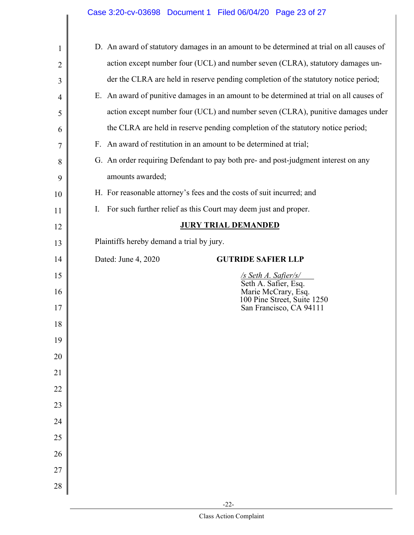$\mathsf I$ 

| 1              | D. An award of statutory damages in an amount to be determined at trial on all causes of |  |  |  |  |  |  |  |
|----------------|------------------------------------------------------------------------------------------|--|--|--|--|--|--|--|
| 2              | action except number four (UCL) and number seven (CLRA), statutory damages un-           |  |  |  |  |  |  |  |
| 3              | der the CLRA are held in reserve pending completion of the statutory notice period;      |  |  |  |  |  |  |  |
| $\overline{4}$ | E. An award of punitive damages in an amount to be determined at trial on all causes of  |  |  |  |  |  |  |  |
| 5              | action except number four (UCL) and number seven (CLRA), punitive damages under          |  |  |  |  |  |  |  |
| 6              | the CLRA are held in reserve pending completion of the statutory notice period;          |  |  |  |  |  |  |  |
| 7              | F. An award of restitution in an amount to be determined at trial;                       |  |  |  |  |  |  |  |
| 8              | G. An order requiring Defendant to pay both pre- and post-judgment interest on any       |  |  |  |  |  |  |  |
| 9              | amounts awarded;                                                                         |  |  |  |  |  |  |  |
| 10             | H. For reasonable attorney's fees and the costs of suit incurred; and                    |  |  |  |  |  |  |  |
| 11             | For such further relief as this Court may deem just and proper.<br>I.                    |  |  |  |  |  |  |  |
| 12             | <b>JURY TRIAL DEMANDED</b>                                                               |  |  |  |  |  |  |  |
| 13             | Plaintiffs hereby demand a trial by jury.                                                |  |  |  |  |  |  |  |
| 14             | Dated: June 4, 2020<br><b>GUTRIDE SAFIER LLP</b>                                         |  |  |  |  |  |  |  |
| 15             | /s Seth A. Safier/s/<br>Seth A. Safier, Esq.                                             |  |  |  |  |  |  |  |
| 16             | Marie McCrary, Esq.<br>100 Pine Street, Suite 1250                                       |  |  |  |  |  |  |  |
| 17             | San Francisco, CA 94111                                                                  |  |  |  |  |  |  |  |
| 18             |                                                                                          |  |  |  |  |  |  |  |
| 19             |                                                                                          |  |  |  |  |  |  |  |
| 20             |                                                                                          |  |  |  |  |  |  |  |
| 21             |                                                                                          |  |  |  |  |  |  |  |
| 22             |                                                                                          |  |  |  |  |  |  |  |
| 23             |                                                                                          |  |  |  |  |  |  |  |
| 24             |                                                                                          |  |  |  |  |  |  |  |
| 25             |                                                                                          |  |  |  |  |  |  |  |
| 26             |                                                                                          |  |  |  |  |  |  |  |
| 27             |                                                                                          |  |  |  |  |  |  |  |
| 28             |                                                                                          |  |  |  |  |  |  |  |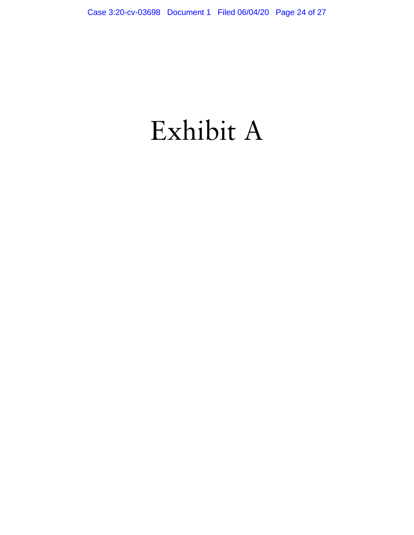# Exhibit A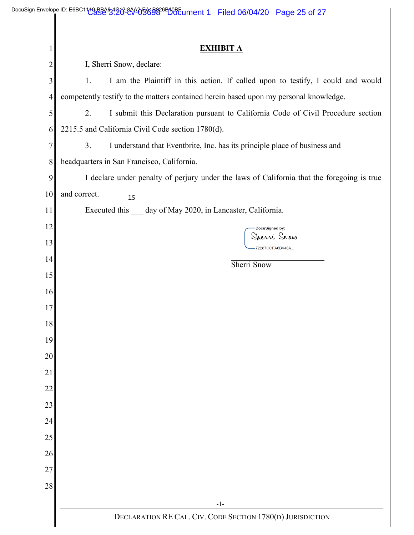|                | DocuSign Envelope ID: E6BC1149-8B483491213-800-05008826B10BEument 1 Filed 06/04/20 Page 25 of 27 |  |  |  |  |  |  |  |  |  |  |
|----------------|--------------------------------------------------------------------------------------------------|--|--|--|--|--|--|--|--|--|--|
|                |                                                                                                  |  |  |  |  |  |  |  |  |  |  |
|                | <b>EXHIBIT A</b>                                                                                 |  |  |  |  |  |  |  |  |  |  |
| 2              | I, Sherri Snow, declare:                                                                         |  |  |  |  |  |  |  |  |  |  |
| 3              | I am the Plaintiff in this action. If called upon to testify, I could and would<br>1.            |  |  |  |  |  |  |  |  |  |  |
| 4              | competently testify to the matters contained herein based upon my personal knowledge.            |  |  |  |  |  |  |  |  |  |  |
| 5              | 2.<br>I submit this Declaration pursuant to California Code of Civil Procedure section           |  |  |  |  |  |  |  |  |  |  |
| 6              | 2215.5 and California Civil Code section 1780(d).                                                |  |  |  |  |  |  |  |  |  |  |
| 7 <sub>1</sub> | 3.<br>I understand that Eventbrite, Inc. has its principle place of business and                 |  |  |  |  |  |  |  |  |  |  |
| 8              | headquarters in San Francisco, California.                                                       |  |  |  |  |  |  |  |  |  |  |
| 9              | I declare under penalty of perjury under the laws of California that the foregoing is true       |  |  |  |  |  |  |  |  |  |  |
| 10             | and correct.<br>15                                                                               |  |  |  |  |  |  |  |  |  |  |
| 11             | Executed this __ day of May 2020, in Lancaster, California.                                      |  |  |  |  |  |  |  |  |  |  |
| 12             | DocuSigned by:                                                                                   |  |  |  |  |  |  |  |  |  |  |
| 13             | Jrezzi Srow<br>72287CCFA6B648A                                                                   |  |  |  |  |  |  |  |  |  |  |
| 14             | Sherri Snow                                                                                      |  |  |  |  |  |  |  |  |  |  |
| 15             |                                                                                                  |  |  |  |  |  |  |  |  |  |  |
| 16             |                                                                                                  |  |  |  |  |  |  |  |  |  |  |
| 17             |                                                                                                  |  |  |  |  |  |  |  |  |  |  |
| 18             |                                                                                                  |  |  |  |  |  |  |  |  |  |  |
| 19             |                                                                                                  |  |  |  |  |  |  |  |  |  |  |
| 20             |                                                                                                  |  |  |  |  |  |  |  |  |  |  |
| 21             |                                                                                                  |  |  |  |  |  |  |  |  |  |  |
| 22             |                                                                                                  |  |  |  |  |  |  |  |  |  |  |
| 23             |                                                                                                  |  |  |  |  |  |  |  |  |  |  |
| 24             |                                                                                                  |  |  |  |  |  |  |  |  |  |  |
| $25\,$         |                                                                                                  |  |  |  |  |  |  |  |  |  |  |
| 26             |                                                                                                  |  |  |  |  |  |  |  |  |  |  |
| 27             |                                                                                                  |  |  |  |  |  |  |  |  |  |  |
| 28             |                                                                                                  |  |  |  |  |  |  |  |  |  |  |
|                | $-1-$                                                                                            |  |  |  |  |  |  |  |  |  |  |
|                | DECLARATION RE CAL. CIV. CODE SECTION 1780(D) JURISDICTION                                       |  |  |  |  |  |  |  |  |  |  |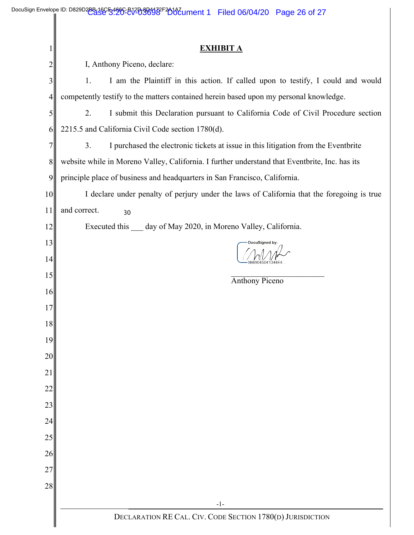|    | <b>EXHIBIT A</b>                                                                               |  |  |  |  |  |  |  |
|----|------------------------------------------------------------------------------------------------|--|--|--|--|--|--|--|
| 2  | I, Anthony Piceno, declare:                                                                    |  |  |  |  |  |  |  |
| 3  | I am the Plaintiff in this action. If called upon to testify, I could and would<br>1.          |  |  |  |  |  |  |  |
| 4  | competently testify to the matters contained herein based upon my personal knowledge.          |  |  |  |  |  |  |  |
| 5  | I submit this Declaration pursuant to California Code of Civil Procedure section<br>2.         |  |  |  |  |  |  |  |
| 6  | 2215.5 and California Civil Code section 1780(d).                                              |  |  |  |  |  |  |  |
| 7  | I purchased the electronic tickets at issue in this litigation from the Eventbrite<br>3.       |  |  |  |  |  |  |  |
| 8  | website while in Moreno Valley, California. I further understand that Eventbrite, Inc. has its |  |  |  |  |  |  |  |
| 9  | principle place of business and headquarters in San Francisco, California.                     |  |  |  |  |  |  |  |
| 10 | I declare under penalty of perjury under the laws of California that the foregoing is true     |  |  |  |  |  |  |  |
| 11 | and correct.<br>30                                                                             |  |  |  |  |  |  |  |
| 12 | Executed this __ day of May 2020, in Moreno Valley, California.                                |  |  |  |  |  |  |  |
| 13 | DocuSigned by:                                                                                 |  |  |  |  |  |  |  |
| 14 |                                                                                                |  |  |  |  |  |  |  |
| 15 | <b>Anthony Piceno</b>                                                                          |  |  |  |  |  |  |  |
| 16 |                                                                                                |  |  |  |  |  |  |  |
| 17 |                                                                                                |  |  |  |  |  |  |  |
| 18 |                                                                                                |  |  |  |  |  |  |  |
| 19 |                                                                                                |  |  |  |  |  |  |  |
| 20 |                                                                                                |  |  |  |  |  |  |  |
| 21 |                                                                                                |  |  |  |  |  |  |  |
| 22 |                                                                                                |  |  |  |  |  |  |  |
| 23 |                                                                                                |  |  |  |  |  |  |  |
| 24 |                                                                                                |  |  |  |  |  |  |  |
| 25 |                                                                                                |  |  |  |  |  |  |  |
| 26 |                                                                                                |  |  |  |  |  |  |  |
| 27 |                                                                                                |  |  |  |  |  |  |  |
| 28 |                                                                                                |  |  |  |  |  |  |  |
|    | $-1-$                                                                                          |  |  |  |  |  |  |  |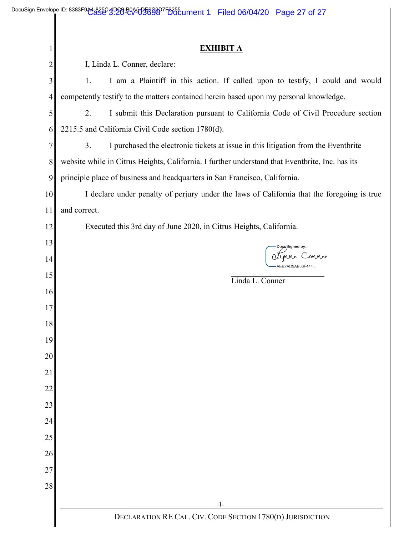|                | <b>EXHIBIT A</b>                                                                                |  |  |  |  |  |  |  |
|----------------|-------------------------------------------------------------------------------------------------|--|--|--|--|--|--|--|
| 2              | I, Linda L. Conner, declare:                                                                    |  |  |  |  |  |  |  |
| 3              | I am a Plaintiff in this action. If called upon to testify, I could and would<br>1.             |  |  |  |  |  |  |  |
| $\overline{4}$ | competently testify to the matters contained herein based upon my personal knowledge.           |  |  |  |  |  |  |  |
| 5              | I submit this Declaration pursuant to California Code of Civil Procedure section<br>2.          |  |  |  |  |  |  |  |
| 6              | 2215.5 and California Civil Code section 1780(d).                                               |  |  |  |  |  |  |  |
| 7              | I purchased the electronic tickets at issue in this litigation from the Eventbrite<br>3.        |  |  |  |  |  |  |  |
| $8\,$          | website while in Citrus Heights, California. I further understand that Eventbrite, Inc. has its |  |  |  |  |  |  |  |
| 9              | principle place of business and headquarters in San Francisco, California.                      |  |  |  |  |  |  |  |
| 10             | I declare under penalty of perjury under the laws of California that the foregoing is true      |  |  |  |  |  |  |  |
| 11             | and correct.                                                                                    |  |  |  |  |  |  |  |
| 12             | Executed this 3rd day of June 2020, in Citrus Heights, California.                              |  |  |  |  |  |  |  |
| 13             | DocuSigned by:                                                                                  |  |  |  |  |  |  |  |
| 14             | unne C<br>onnev<br>AEB2AD9AB03F444.                                                             |  |  |  |  |  |  |  |
| 15             | Linda L. Conner                                                                                 |  |  |  |  |  |  |  |
| 16             |                                                                                                 |  |  |  |  |  |  |  |
| 17             |                                                                                                 |  |  |  |  |  |  |  |
| 18             |                                                                                                 |  |  |  |  |  |  |  |
| 19             |                                                                                                 |  |  |  |  |  |  |  |
| 20             |                                                                                                 |  |  |  |  |  |  |  |
| 21             |                                                                                                 |  |  |  |  |  |  |  |
| 22             |                                                                                                 |  |  |  |  |  |  |  |
| 23             |                                                                                                 |  |  |  |  |  |  |  |
| 24             |                                                                                                 |  |  |  |  |  |  |  |
| 25             |                                                                                                 |  |  |  |  |  |  |  |
| 26             |                                                                                                 |  |  |  |  |  |  |  |
| 27             |                                                                                                 |  |  |  |  |  |  |  |
| 28             |                                                                                                 |  |  |  |  |  |  |  |
|                | $-1-$                                                                                           |  |  |  |  |  |  |  |